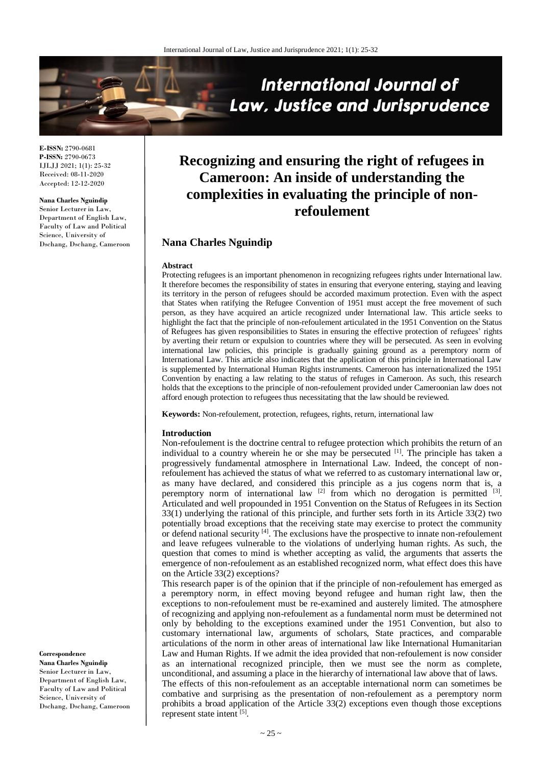

**E-ISSN:** 2790-0681 **P-ISSN:** 2790-0673 IJLJJ 2021; 1(1): 25-32 Received: 08-11-2020 Accepted: 12-12-2020

**Nana Charles Nguindip**

Senior Lecturer in Law, Department of English Law, Faculty of Law and Political Science, University of Dschang, Dschang, Cameroon

# **Recognizing and ensuring the right of refugees in Cameroon: An inside of understanding the complexities in evaluating the principle of nonrefoulement**

# **Nana Charles Nguindip**

#### **Abstract**

Protecting refugees is an important phenomenon in recognizing refugees rights under International law. It therefore becomes the responsibility of states in ensuring that everyone entering, staying and leaving its territory in the person of refugees should be accorded maximum protection. Even with the aspect that States when ratifying the Refugee Convention of 1951 must accept the free movement of such person, as they have acquired an article recognized under International law. This article seeks to highlight the fact that the principle of non-refoulement articulated in the 1951 Convention on the Status of Refugees has given responsibilities to States in ensuring the effective protection of refugees' rights by averting their return or expulsion to countries where they will be persecuted. As seen in evolving international law policies, this principle is gradually gaining ground as a peremptory norm of International Law. This article also indicates that the application of this principle in International Law is supplemented by International Human Rights instruments. Cameroon has internationalized the 1951 Convention by enacting a law relating to the status of refuges in Cameroon. As such, this research holds that the exceptions to the principle of non-refoulement provided under Cameroonian law does not afford enough protection to refugees thus necessitating that the law should be reviewed.

**Keywords:** Non-refoulement, protection, refugees, rights, return, international law

#### **Introduction**

Non-refoulement is the doctrine central to refugee protection which prohibits the return of an individual to a country wherein he or she may be persecuted  $[1]$ . The principle has taken a progressively fundamental atmosphere in International Law. Indeed, the concept of nonrefoulement has achieved the status of what we referred to as customary international law or, as many have declared, and considered this principle as a jus cogens norm that is, a peremptory norm of international law  $[2]$  from which no derogation is permitted  $[3]$ . Articulated and well propounded in 1951 Convention on the Status of Refugees in its Section 33(1) underlying the rational of this principle, and further sets forth in its Article 33(2) two potentially broad exceptions that the receiving state may exercise to protect the community or defend national security <sup>[4]</sup>. The exclusions have the prospective to innate non-refoulement and leave refugees vulnerable to the violations of underlying human rights. As such, the question that comes to mind is whether accepting as valid, the arguments that asserts the emergence of non-refoulement as an established recognized norm, what effect does this have on the Article 33(2) exceptions?

This research paper is of the opinion that if the principle of non-refoulement has emerged as a peremptory norm, in effect moving beyond refugee and human right law, then the exceptions to non-refoulement must be re-examined and austerely limited. The atmosphere of recognizing and applying non-refoulement as a fundamental norm must be determined not only by beholding to the exceptions examined under the 1951 Convention, but also to customary international law, arguments of scholars, State practices, and comparable articulations of the norm in other areas of international law like International Humanitarian Law and Human Rights. If we admit the idea provided that non-refoulement is now consider as an international recognized principle, then we must see the norm as complete, unconditional, and assuming a place in the hierarchy of international law above that of laws. The effects of this non-refoulement as an acceptable international norm can sometimes be combative and surprising as the presentation of non-refoulement as a peremptory norm prohibits a broad application of the Article 33(2) exceptions even though those exceptions

**Correspondence Nana Charles Nguindip** Senior Lecturer in Law,

Department of English Law, Faculty of Law and Political Science, University of Dschang, Dschang, Cameroon

represent state intent [5].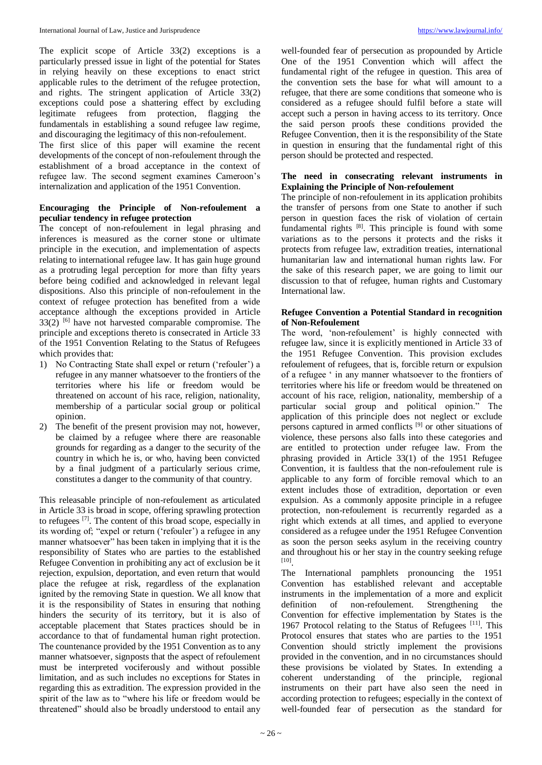The explicit scope of Article 33(2) exceptions is a particularly pressed issue in light of the potential for States in relying heavily on these exceptions to enact strict applicable rules to the detriment of the refugee protection, and rights. The stringent application of Article 33(2) exceptions could pose a shattering effect by excluding legitimate refugees from protection, flagging the fundamentals in establishing a sound refugee law regime, and discouraging the legitimacy of this non-refoulement.

The first slice of this paper will examine the recent developments of the concept of non-refoulement through the establishment of a broad acceptance in the context of refugee law. The second segment examines Cameroon's internalization and application of the 1951 Convention.

## **Encouraging the Principle of Non-refoulement a peculiar tendency in refugee protection**

The concept of non-refoulement in legal phrasing and inferences is measured as the corner stone or ultimate principle in the execution, and implementation of aspects relating to international refugee law. It has gain huge ground as a protruding legal perception for more than fifty years before being codified and acknowledged in relevant legal dispositions. Also this principle of non-refoulement in the context of refugee protection has benefited from a wide acceptance although the exceptions provided in Article  $33(2)$  [6] have not harvested comparable compromise. The principle and exceptions thereto is consecrated in Article 33 of the 1951 Convention Relating to the Status of Refugees which provides that:

- 1) No Contracting State shall expel or return ('refouler') a refugee in any manner whatsoever to the frontiers of the territories where his life or freedom would be threatened on account of his race, religion, nationality, membership of a particular social group or political opinion.
- 2) The benefit of the present provision may not, however, be claimed by a refugee where there are reasonable grounds for regarding as a danger to the security of the country in which he is, or who, having been convicted by a final judgment of a particularly serious crime, constitutes a danger to the community of that country.

This releasable principle of non-refoulement as articulated in Article 33 is broad in scope, offering sprawling protection to refugees [7] . The content of this broad scope, especially in its wording of; "expel or return ('refouler') a refugee in any manner whatsoever" has been taken in implying that it is the responsibility of States who are parties to the established Refugee Convention in prohibiting any act of exclusion be it rejection, expulsion, deportation, and even return that would place the refugee at risk, regardless of the explanation ignited by the removing State in question. We all know that it is the responsibility of States in ensuring that nothing hinders the security of its territory, but it is also of acceptable placement that States practices should be in accordance to that of fundamental human right protection. The countenance provided by the 1951 Convention as to any manner whatsoever, signposts that the aspect of refoulement must be interpreted vociferously and without possible limitation, and as such includes no exceptions for States in regarding this as extradition. The expression provided in the spirit of the law as to "where his life or freedom would be threatened" should also be broadly understood to entail any

well-founded fear of persecution as propounded by Article One of the 1951 Convention which will affect the fundamental right of the refugee in question. This area of the convention sets the base for what will amount to a refugee, that there are some conditions that someone who is considered as a refugee should fulfil before a state will accept such a person in having access to its territory. Once the said person proofs these conditions provided the Refugee Convention, then it is the responsibility of the State in question in ensuring that the fundamental right of this person should be protected and respected.

## **The need in consecrating relevant instruments in Explaining the Principle of Non-refoulement**

The principle of non-refoulement in its application prohibits the transfer of persons from one State to another if such person in question faces the risk of violation of certain fundamental rights <a>[8]</a>. This principle is found with some variations as to the persons it protects and the risks it protects from refugee law, extradition treaties, international humanitarian law and international human rights law. For the sake of this research paper, we are going to limit our discussion to that of refugee, human rights and Customary International law.

#### **Refugee Convention a Potential Standard in recognition of Non-Refoulement**

The word, 'non-refoulement' is highly connected with refugee law, since it is explicitly mentioned in Article 33 of the 1951 Refugee Convention. This provision excludes refoulement of refugees, that is, forcible return or expulsion of a refugee ' in any manner whatsoever to the frontiers of territories where his life or freedom would be threatened on account of his race, religion, nationality, membership of a particular social group and political opinion." The application of this principle does not neglect or exclude persons captured in armed conflicts [9] or other situations of violence, these persons also falls into these categories and are entitled to protection under refugee law. From the phrasing provided in Article 33(1) of the 1951 Refugee Convention, it is faultless that the non-refoulement rule is applicable to any form of forcible removal which to an extent includes those of extradition, deportation or even expulsion. As a commonly apposite principle in a refugee protection, non-refoulement is recurrently regarded as a right which extends at all times, and applied to everyone considered as a refugee under the 1951 Refugee Convention as soon the person seeks asylum in the receiving country and throughout his or her stay in the country seeking refuge [10] .

The International pamphlets pronouncing the 1951 Convention has established relevant and acceptable instruments in the implementation of a more and explicit definition of non-refoulement. Strengthening the Convention for effective implementation by States is the 1967 Protocol relating to the Status of Refugees<sup>[11]</sup>. This Protocol ensures that states who are parties to the 1951 Convention should strictly implement the provisions provided in the convention, and in no circumstances should these provisions be violated by States. In extending a coherent understanding of the principle, regional instruments on their part have also seen the need in according protection to refugees; especially in the context of well-founded fear of persecution as the standard for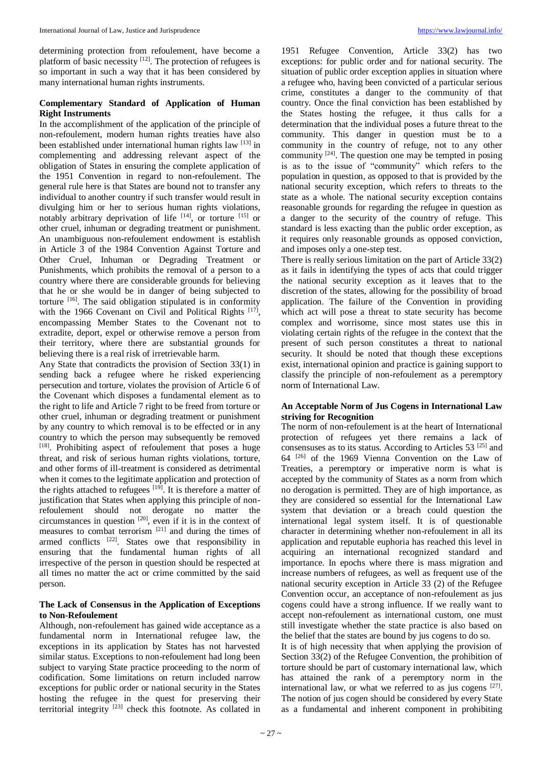determining protection from refoulement, have become a platform of basic necessity  $[12]$ . The protection of refugees is so important in such a way that it has been considered by many international human rights instruments.

# **Complementary Standard of Application of Human Right Instruments**

In the accomplishment of the application of the principle of non-refoulement, modern human rights treaties have also been established under international human rights law [13] in complementing and addressing relevant aspect of the obligation of States in ensuring the complete application of the 1951 Convention in regard to non-refoulement. The general rule here is that States are bound not to transfer any individual to another country if such transfer would result in divulging him or her to serious human rights violations, notably arbitrary deprivation of life  $[14]$ , or torture  $[15]$  or other cruel, inhuman or degrading treatment or punishment. An unambiguous non-refoulement endowment is establish in Article 3 of the 1984 Convention Against Torture and Other Cruel, Inhuman or Degrading Treatment or Punishments, which prohibits the removal of a person to a country where there are considerable grounds for believing that he or she would be in danger of being subjected to torture <sup>[16]</sup>. The said obligation stipulated is in conformity with the 1966 Covenant on Civil and Political Rights  $[17]$ , encompassing Member States to the Covenant not to extradite, deport, expel or otherwise remove a person from their territory, where there are substantial grounds for believing there is a real risk of irretrievable harm.

Any State that contradicts the provision of Section 33(1) in sending back a refugee where he risked experiencing persecution and torture, violates the provision of Article 6 of the Covenant which disposes a fundamental element as to the right to life and Article 7 right to be freed from torture or other cruel, inhuman or degrading treatment or punishment by any country to which removal is to be effected or in any country to which the person may subsequently be removed [18]. Prohibiting aspect of refoulement that poses a huge threat, and risk of serious human rights violations, torture, and other forms of ill-treatment is considered as detrimental when it comes to the legitimate application and protection of the rights attached to refugees  $[19]$ . It is therefore a matter of justification that States when applying this principle of nonrefoulement should not derogate no matter the circumstances in question  $[20]$ , even if it is in the context of measures to combat terrorism<sup>[21]</sup> and during the times of armed conflicts  $[22]$ . States owe that responsibility in ensuring that the fundamental human rights of all irrespective of the person in question should be respected at all times no matter the act or crime committed by the said person.

#### **The Lack of Consensus in the Application of Exceptions to Non-Refoulement**

Although, non-refoulement has gained wide acceptance as a fundamental norm in International refugee law, the exceptions in its application by States has not harvested similar status. Exceptions to non-refoulement had long been subject to varying State practice proceeding to the norm of codification. Some limitations on return included narrow exceptions for public order or national security in the States hosting the refugee in the quest for preserving their territorial integrity<sup>[23]</sup> check this footnote. As collated in

1951 Refugee Convention, Article 33(2) has two exceptions: for public order and for national security. The situation of public order exception applies in situation where a refugee who, having been convicted of a particular serious crime, constitutes a danger to the community of that country. Once the final conviction has been established by the States hosting the refugee, it thus calls for a determination that the individual poses a future threat to the community. This danger in question must be to a community in the country of refuge, not to any other community  $[24]$ . The question one may be tempted in posing is as to the issue of "community" which refers to the population in question, as opposed to that is provided by the national security exception, which refers to threats to the state as a whole. The national security exception contains reasonable grounds for regarding the refugee in question as a danger to the security of the country of refuge. This standard is less exacting than the public order exception, as it requires only reasonable grounds as opposed conviction, and imposes only a one-step test.

There is really serious limitation on the part of Article 33(2) as it fails in identifying the types of acts that could trigger the national security exception as it leaves that to the discretion of the states, allowing for the possibility of broad application. The failure of the Convention in providing which act will pose a threat to state security has become complex and worrisome, since most states use this in violating certain rights of the refugee in the context that the present of such person constitutes a threat to national security. It should be noted that though these exceptions exist, international opinion and practice is gaining support to classify the principle of non-refoulement as a peremptory norm of International Law.

#### **An Acceptable Norm of Jus Cogens in International Law striving for Recognition**

The norm of non-refoulement is at the heart of International protection of refugees yet there remains a lack of consensuses as to its status. According to Articles 53<sup>[25]</sup> and 64 [26] of the 1969 Vienna Convention on the Law of Treaties, a peremptory or imperative norm is what is accepted by the community of States as a norm from which no derogation is permitted. They are of high importance, as they are considered so essential for the International Law system that deviation or a breach could question the international legal system itself. It is of questionable character in determining whether non-refoulement in all its application and reputable euphoria has reached this level in acquiring an international recognized standard and importance. In epochs where there is mass migration and increase numbers of refugees, as well as frequent use of the national security exception in Article 33 (2) of the Refugee Convention occur, an acceptance of non-refoulement as jus cogens could have a strong influence. If we really want to accept non-refoulement as international custom, one must still investigate whether the state practice is also based on the belief that the states are bound by jus cogens to do so. It is of high necessity that when applying the provision of

Section 33(2) of the Refugee Convention, the prohibition of torture should be part of customary international law, which has attained the rank of a peremptory norm in the international law, or what we referred to as jus cogens  $[27]$ . The notion of jus cogen should be considered by every State as a fundamental and inherent component in prohibiting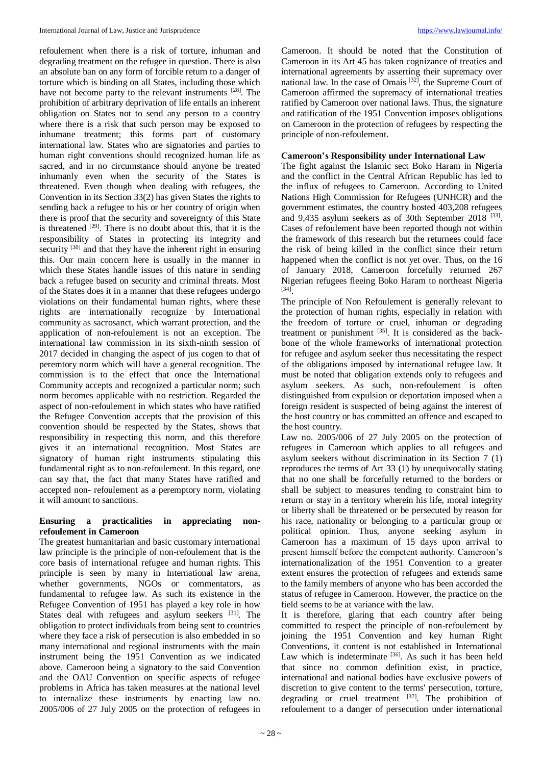refoulement when there is a risk of torture, inhuman and degrading treatment on the refugee in question. There is also an absolute ban on any form of forcible return to a danger of torture which is binding on all States, including those which have not become party to the relevant instruments <sup>[28]</sup>. The prohibition of arbitrary deprivation of life entails an inherent obligation on States not to send any person to a country where there is a risk that such person may be exposed to inhumane treatment; this forms part of customary international law. States who are signatories and parties to human right conventions should recognized human life as sacred, and in no circumstance should anyone be treated inhumanly even when the security of the States is threatened. Even though when dealing with refugees, the Convention in its Section 33(2) has given States the rights to sending back a refugee to his or her country of origin when there is proof that the security and sovereignty of this State is threatened  $[29]$ . There is no doubt about this, that it is the responsibility of States in protecting its integrity and security  $[30]$  and that they have the inherent right in ensuring this. Our main concern here is usually in the manner in which these States handle issues of this nature in sending back a refugee based on security and criminal threats. Most of the States does it in a manner that these refugees undergo violations on their fundamental human rights, where these rights are internationally recognize by International community as sacrosanct, which warrant protection, and the application of non-refoulement is not an exception. The international law commission in its sixth-ninth session of 2017 decided in changing the aspect of jus cogen to that of peremtory norm which will have a general recognition. The commission is to the effect that once the International Community accepts and recognized a particular norm; such norm becomes applicable with no restriction. Regarded the aspect of non-refoulement in which states who have ratified the Refugee Convention accepts that the provision of this convention should be respected by the States, shows that responsibility in respecting this norm, and this therefore gives it an international recognition. Most States are signatory of human right instruments stipulating this fundamental right as to non-refoulement. In this regard, one can say that, the fact that many States have ratified and accepted non- refoulement as a peremptory norm, violating it will amount to sanctions.

# **Ensuring a practicalities in appreciating nonrefoulement in Cameroon**

The greatest humanitarian and basic customary international law principle is the principle of non-refoulement that is the core basis of international refugee and human rights. This principle is seen by many in International law arena, whether governments, NGOs or commentators, as fundamental to refugee law. As such its existence in the Refugee Convention of 1951 has played a key role in how States deal with refugees and asylum seekers [31]. The obligation to protect individuals from being sent to countries where they face a risk of persecution is also embedded in so many international and regional instruments with the main instrument being the 1951 Convention as we indicated above. Cameroon being a signatory to the said Convention and the OAU Convention on specific aspects of refugee problems in Africa has taken measures at the national level to internalize these instruments by enacting law no. 2005/006 of 27 July 2005 on the protection of refugees in

Cameroon. It should be noted that the Constitution of Cameroon in its Art 45 has taken cognizance of treaties and international agreements by asserting their supremacy over national law. In the case of Omais [32] , the Supreme Court of Cameroon affirmed the supremacy of international treaties ratified by Cameroon over national laws. Thus, the signature and ratification of the 1951 Convention imposes obligations on Cameroon in the protection of refugees by respecting the principle of non-refoulement.

## **Cameroon's Responsibility under International Law**

The fight against the Islamic sect Boko Haram in Nigeria and the conflict in the Central African Republic has led to the influx of refugees to Cameroon. According to United Nations High Commission for Refugees (UNHCR) and the government estimates, the country hosted 403,208 refugees and 9,435 asylum seekers as of 30th September 2018 [33]. Cases of refoulement have been reported though not within the framework of this research but the returnees could face the risk of being killed in the conflict since their return happened when the conflict is not yet over. Thus, on the 16 of January 2018, Cameroon forcefully returned 267 Nigerian refugees fleeing Boko Haram to northeast Nigeria [34] .

The principle of Non Refoulement is generally relevant to the protection of human rights, especially in relation with the freedom of torture or cruel, inhuman or degrading treatment or punishment  $^{[35]}$ . It is considered as the backbone of the whole frameworks of international protection for refugee and asylum seeker thus necessitating the respect of the obligations imposed by international refugee law. It must be noted that obligation extends only to refugees and asylum seekers. As such, non-refoulement is often distinguished from expulsion or deportation imposed when a foreign resident is suspected of being against the interest of the host country or has committed an offence and escaped to the host country.

Law no. 2005/006 of 27 July 2005 on the protection of refugees in Cameroon which applies to all refugees and asylum seekers without discrimination in its Section 7 (1) reproduces the terms of Art 33 (1) by unequivocally stating that no one shall be forcefully returned to the borders or shall be subject to measures tending to constraint him to return or stay in a territory wherein his life, moral integrity or liberty shall be threatened or be persecuted by reason for his race, nationality or belonging to a particular group or political opinion. Thus, anyone seeking asylum in Cameroon has a maximum of 15 days upon arrival to present himself before the competent authority. Cameroon's internationalization of the 1951 Convention to a greater extent ensures the protection of refugees and extends same to the family members of anyone who has been accorded the status of refugee in Cameroon. However, the practice on the field seems to be at variance with the law.

It is therefore, glaring that each country after being committed to respect the principle of non-refoulement by joining the 1951 Convention and key human Right Conventions, it content is not established in International Law which is indeterminate [36]. As such it has been held that since no common definition exist, in practice, international and national bodies have exclusive powers of discretion to give content to the terms' persecution, torture, degrading or cruel treatment  $[37]$ . The prohibition of refoulement to a danger of persecution under international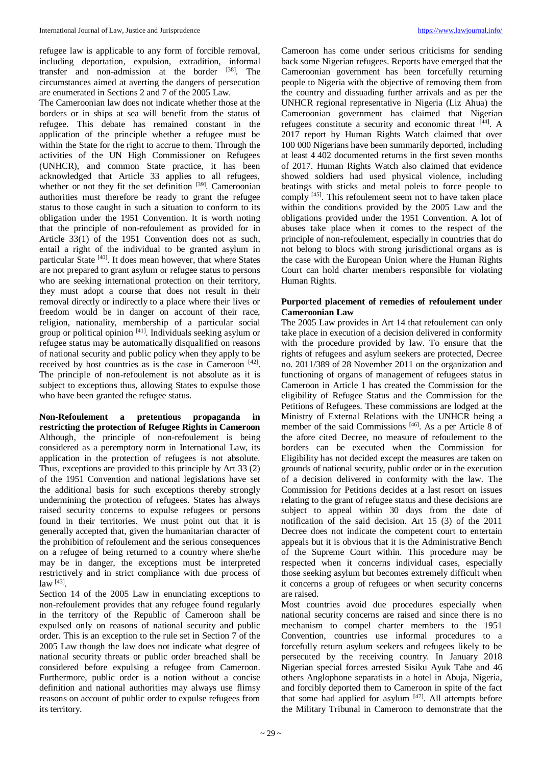refugee law is applicable to any form of forcible removal, including deportation, expulsion, extradition, informal transfer and non-admission at the border [38] . The circumstances aimed at averting the dangers of persecution are enumerated in Sections 2 and 7 of the 2005 Law.

The Cameroonian law does not indicate whether those at the borders or in ships at sea will benefit from the status of refugee. This debate has remained constant in the application of the principle whether a refugee must be within the State for the right to accrue to them. Through the activities of the UN High Commissioner on Refugees (UNHCR), and common State practice, it has been acknowledged that Article 33 applies to all refugees, whether or not they fit the set definition [39]. Cameroonian authorities must therefore be ready to grant the refugee status to those caught in such a situation to conform to its obligation under the 1951 Convention. It is worth noting that the principle of non-refoulement as provided for in Article 33(1) of the 1951 Convention does not as such, entail a right of the individual to be granted asylum in particular State<sup>[40]</sup>. It does mean however, that where States are not prepared to grant asylum or refugee status to persons who are seeking international protection on their territory, they must adopt a course that does not result in their removal directly or indirectly to a place where their lives or freedom would be in danger on account of their race, religion, nationality, membership of a particular social group or political opinion <sup>[41]</sup>. Individuals seeking asylum or refugee status may be automatically disqualified on reasons of national security and public policy when they apply to be received by host countries as is the case in Cameroon  $[42]$ . The principle of non-refoulement is not absolute as it is subject to exceptions thus, allowing States to expulse those who have been granted the refugee status.

**Non-Refoulement a pretentious propaganda in restricting the protection of Refugee Rights in Cameroon**  Although, the principle of non-refoulement is being considered as a peremptory norm in International Law, its application in the protection of refugees is not absolute. Thus, exceptions are provided to this principle by Art 33 (2) of the 1951 Convention and national legislations have set the additional basis for such exceptions thereby strongly undermining the protection of refugees. States has always raised security concerns to expulse refugees or persons found in their territories. We must point out that it is generally accepted that, given the humanitarian character of the prohibition of refoulement and the serious consequences on a refugee of being returned to a country where she/he may be in danger, the exceptions must be interpreted restrictively and in strict compliance with due process of law [43] .

Section 14 of the 2005 Law in enunciating exceptions to non-refoulement provides that any refugee found regularly in the territory of the Republic of Cameroon shall be expulsed only on reasons of national security and public order. This is an exception to the rule set in Section 7 of the 2005 Law though the law does not indicate what degree of national security threats or public order breached shall be considered before expulsing a refugee from Cameroon. Furthermore, public order is a notion without a concise definition and national authorities may always use flimsy reasons on account of public order to expulse refugees from its territory.

Cameroon has come under serious criticisms for sending back some Nigerian refugees. Reports have emerged that the Cameroonian government has been forcefully returning people to Nigeria with the objective of removing them from the country and dissuading further arrivals and as per the UNHCR regional representative in Nigeria (Liz Ahua) the Cameroonian government has claimed that Nigerian refugees constitute a security and economic threat [44]. A 2017 report by Human Rights Watch claimed that over 100 000 Nigerians have been summarily deported, including at least 4 402 documented returns in the first seven months of 2017. Human Rights Watch also claimed that evidence showed soldiers had used physical violence, including beatings with sticks and metal poleis to force people to comply <sup>[45]</sup>. This refoulement seem not to have taken place within the conditions provided by the 2005 Law and the obligations provided under the 1951 Convention. A lot of abuses take place when it comes to the respect of the principle of non-refoulement, especially in countries that do not belong to blocs with strong jurisdictional organs as is the case with the European Union where the Human Rights Court can hold charter members responsible for violating Human Rights.

# **Purported placement of remedies of refoulement under Cameroonian Law**

The 2005 Law provides in Art 14 that refoulement can only take place in execution of a decision delivered in conformity with the procedure provided by law. To ensure that the rights of refugees and asylum seekers are protected, Decree no. 2011/389 of 28 November 2011 on the organization and functioning of organs of management of refugees status in Cameroon in Article 1 has created the Commission for the eligibility of Refugee Status and the Commission for the Petitions of Refugees. These commissions are lodged at the Ministry of External Relations with the UNHCR being a member of the said Commissions [46] . As a per Article 8 of the afore cited Decree, no measure of refoulement to the borders can be executed when the Commission for Eligibility has not decided except the measures are taken on grounds of national security, public order or in the execution of a decision delivered in conformity with the law. The Commission for Petitions decides at a last resort on issues relating to the grant of refugee status and these decisions are subject to appeal within 30 days from the date of notification of the said decision. Art 15 (3) of the 2011 Decree does not indicate the competent court to entertain appeals but it is obvious that it is the Administrative Bench of the Supreme Court within. This procedure may be respected when it concerns individual cases, especially those seeking asylum but becomes extremely difficult when it concerns a group of refugees or when security concerns are raised.

Most countries avoid due procedures especially when national security concerns are raised and since there is no mechanism to compel charter members to the 1951 Convention, countries use informal procedures to a forcefully return asylum seekers and refugees likely to be persecuted by the receiving country. In January 2018 Nigerian special forces arrested Sisiku Ayuk Tabe and 46 others Anglophone separatists in a hotel in Abuja, Nigeria, and forcibly deported them to Cameroon in spite of the fact that some had applied for asylum  $[47]$ . All attempts before the Military Tribunal in Cameroon to demonstrate that the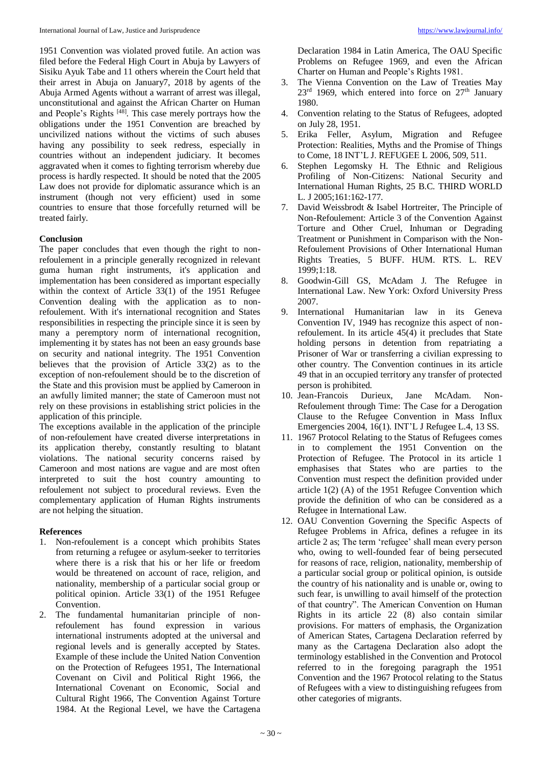1951 Convention was violated proved futile. An action was filed before the Federal High Court in Abuja by Lawyers of Sisiku Ayuk Tabe and 11 others wherein the Court held that their arrest in Abuja on January7, 2018 by agents of the Abuja Armed Agents without a warrant of arrest was illegal, unconstitutional and against the African Charter on Human and People's Rights<sup>[48]</sup>. This case merely portrays how the obligations under the 1951 Convention are breached by uncivilized nations without the victims of such abuses having any possibility to seek redress, especially in countries without an independent judiciary. It becomes aggravated when it comes to fighting terrorism whereby due process is hardly respected. It should be noted that the 2005 Law does not provide for diplomatic assurance which is an instrument (though not very efficient) used in some countries to ensure that those forcefully returned will be treated fairly.

# **Conclusion**

The paper concludes that even though the right to nonrefoulement in a principle generally recognized in relevant guma human right instruments, it's application and implementation has been considered as important especially within the context of Article 33(1) of the 1951 Refugee Convention dealing with the application as to nonrefoulement. With it's international recognition and States responsibilities in respecting the principle since it is seen by many a peremptory norm of international recognition, implementing it by states has not been an easy grounds base on security and national integrity. The 1951 Convention believes that the provision of Article 33(2) as to the exception of non-refoulement should be to the discretion of the State and this provision must be applied by Cameroon in an awfully limited manner; the state of Cameroon must not rely on these provisions in establishing strict policies in the application of this principle.

The exceptions available in the application of the principle of non-refoulement have created diverse interpretations in its application thereby, constantly resulting to blatant violations. The national security concerns raised by Cameroon and most nations are vague and are most often interpreted to suit the host country amounting to refoulement not subject to procedural reviews. Even the complementary application of Human Rights instruments are not helping the situation.

# **References**

- 1. Non-refoulement is a concept which prohibits States from returning a refugee or asylum-seeker to territories where there is a risk that his or her life or freedom would be threatened on account of race, religion, and nationality, membership of a particular social group or political opinion. Article 33(1) of the 1951 Refugee Convention.
- 2. The fundamental humanitarian principle of nonrefoulement has found expression in various international instruments adopted at the universal and regional levels and is generally accepted by States. Example of these include the United Nation Convention on the Protection of Refugees 1951, The International Covenant on Civil and Political Right 1966, the International Covenant on Economic, Social and Cultural Right 1966, The Convention Against Torture 1984. At the Regional Level, we have the Cartagena

Declaration 1984 in Latin America, The OAU Specific Problems on Refugee 1969, and even the African Charter on Human and People's Rights 1981.

- 3. The Vienna Convention on the Law of Treaties May  $23<sup>rd</sup>$  1969, which entered into force on  $27<sup>th</sup>$  January 1980.
- 4. Convention relating to the Status of Refugees, adopted on July 28, 1951.
- 5. Erika Feller, Asylum, Migration and Refugee Protection: Realities, Myths and the Promise of Things to Come, 18 INT'L J. REFUGEE L 2006, 509, 511.
- 6. Stephen Legomsky H. The Ethnic and Religious Profiling of Non-Citizens: National Security and International Human Rights, 25 B.C. THIRD WORLD L. J 2005;161:162-177.
- 7. David Weissbrodt & Isabel Hortreiter, The Principle of Non-Refoulement: Article 3 of the Convention Against Torture and Other Cruel, Inhuman or Degrading Treatment or Punishment in Comparison with the Non-Refoulement Provisions of Other International Human Rights Treaties, 5 BUFF. HUM. RTS. L. REV 1999;1:18.
- 8. Goodwin-Gill GS, McAdam J. The Refugee in International Law. New York: Oxford University Press 2007.
- 9. International Humanitarian law in its Geneva Convention IV, 1949 has recognize this aspect of nonrefoulement. In its article 45(4) it precludes that State holding persons in detention from repatriating a Prisoner of War or transferring a civilian expressing to other country. The Convention continues in its article 49 that in an occupied territory any transfer of protected person is prohibited.
- 10. Jean-Francois Durieux, Jane McAdam. Non-Refoulement through Time: The Case for a Derogation Clause to the Refugee Convention in Mass Influx Emergencies 2004, 16(1). INT'L J Refugee L.4, 13 SS.
- 11. 1967 Protocol Relating to the Status of Refugees comes in to complement the 1951 Convention on the Protection of Refugee. The Protocol in its article 1 emphasises that States who are parties to the Convention must respect the definition provided under article 1(2) (A) of the 1951 Refugee Convention which provide the definition of who can be considered as a Refugee in International Law.
- 12. OAU Convention Governing the Specific Aspects of Refugee Problems in Africa, defines a refugee in its article 2 as; The term 'refugee' shall mean every person who, owing to well-founded fear of being persecuted for reasons of race, religion, nationality, membership of a particular social group or political opinion, is outside the country of his nationality and is unable or, owing to such fear, is unwilling to avail himself of the protection of that country". The American Convention on Human Rights in its article 22 (8) also contain similar provisions. For matters of emphasis, the Organization of American States, Cartagena Declaration referred by many as the Cartagena Declaration also adopt the terminology established in the Convention and Protocol referred to in the foregoing paragraph the 1951 Convention and the 1967 Protocol relating to the Status of Refugees with a view to distinguishing refugees from other categories of migrants.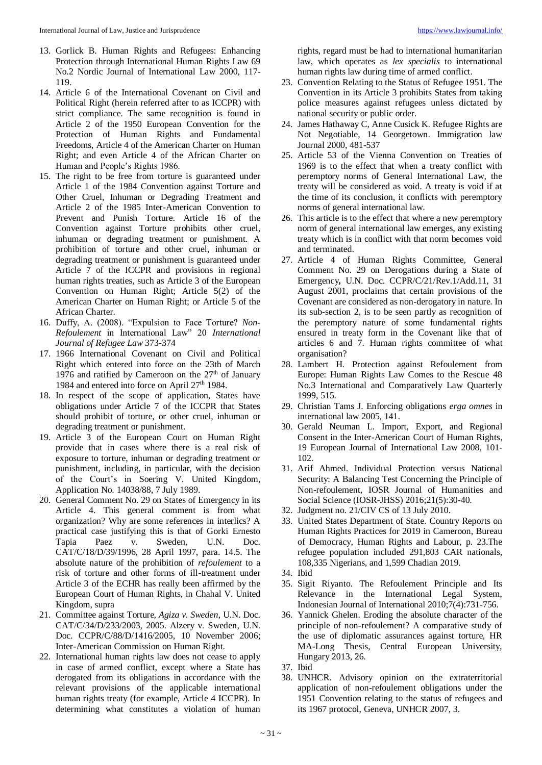- 13. Gorlick B. Human Rights and Refugees: Enhancing Protection through International Human Rights Law 69 No.2 Nordic Journal of International Law 2000, 117- 119.
- 14. Article 6 of the International Covenant on Civil and Political Right (herein referred after to as ICCPR) with strict compliance. The same recognition is found in Article 2 of the 1950 European Convention for the Protection of Human Rights and Fundamental Freedoms, Article 4 of the American Charter on Human Right; and even Article 4 of the African Charter on Human and People's Rights 1986.
- 15. The right to be free from torture is guaranteed under Article 1 of the 1984 Convention against Torture and Other Cruel, Inhuman or Degrading Treatment and Article 2 of the 1985 Inter-American Convention to Prevent and Punish Torture. Article 16 of the Convention against Torture prohibits other cruel, inhuman or degrading treatment or punishment. A prohibition of torture and other cruel, inhuman or degrading treatment or punishment is guaranteed under Article 7 of the ICCPR and provisions in regional human rights treaties, such as Article 3 of the European Convention on Human Right; Article 5(2) of the American Charter on Human Right; or Article 5 of the African Charter.
- 16. Duffy, A. (2008). "Expulsion to Face Torture? *Non*-*Refoulement* in International Law" 20 *International Journal of Refugee Law* 373-374
- 17. 1966 International Covenant on Civil and Political Right which entered into force on the 23th of March 1976 and ratified by Cameroon on the  $27<sup>th</sup>$  of January 1984 and entered into force on April 27th 1984.
- 18. In respect of the scope of application, States have obligations under Article 7 of the ICCPR that States should prohibit of torture, or other cruel, inhuman or degrading treatment or punishment*.*
- 19. Article 3 of the European Court on Human Right provide that in cases where there is a real risk of exposure to torture, inhuman or degrading treatment or punishment, including, in particular, with the decision of the Court's in Soering V. United Kingdom, Application No. 14038/88, 7 July 1989.
- 20. General Comment No. 29 on States of Emergency in its Article 4. This general comment is from what organization? Why are some references in interlics? A practical case justifying this is that of Gorki Ernesto Tapia Paez v. Sweden, U.N. Doc. CAT/C/18/D/39/1996, 28 April 1997, para. 14.5. The absolute nature of the prohibition of *refoulement* to a risk of torture and other forms of ill-treatment under Article 3 of the ECHR has really been affirmed by the European Court of Human Rights, in Chahal V. United Kingdom, supra
- 21. Committee against Torture, *Agiza v. Sweden*, U.N. Doc. CAT/C/34/D/233/2003, 2005. Alzery v. Sweden, U.N. Doc. CCPR/C/88/D/1416/2005, 10 November 2006; Inter-American Commission on Human Right.
- 22. International human rights law does not cease to apply in case of armed conflict, except where a State has derogated from its obligations in accordance with the relevant provisions of the applicable international human rights treaty (for example, Article 4 ICCPR). In determining what constitutes a violation of human

rights, regard must be had to international humanitarian law, which operates as *lex specialis* to international human rights law during time of armed conflict.

- 23. Convention Relating to the Status of Refugee 1951. The Convention in its Article 3 prohibits States from taking police measures against refugees unless dictated by national security or public order.
- 24. James Hathaway C, Anne Cusick K. Refugee Rights are Not Negotiable, 14 Georgetown. Immigration law Journal 2000, 481-537
- 25. Article 53 of the Vienna Convention on Treaties of 1969 is to the effect that when a treaty conflict with peremptory norms of General International Law, the treaty will be considered as void. A treaty is void if at the time of its conclusion, it conflicts with peremptory norms of general international law.
- 26. This article is to the effect that where a new peremptory norm of general international law emerges, any existing treaty which is in conflict with that norm becomes void and terminated.
- 27. Article 4 of Human Rights Committee, General Comment No. 29 on Derogations during a State of Emergency*,* U.N. Doc. CCPR/C/21/Rev.1/Add.11, 31 August 2001, proclaims that certain provisions of the Covenant are considered as non-derogatory in nature. In its sub-section 2, is to be seen partly as recognition of the peremptory nature of some fundamental rights ensured in treaty form in the Covenant like that of articles 6 and 7. Human rights committee of what organisation?
- 28. Lambert H. Protection against Refoulement from Europe: Human Rights Law Comes to the Rescue 48 No.3 International and Comparatively Law Quarterly 1999, 515.
- 29. Christian Tams J. Enforcing obligations *erga omnes* in international law 2005, 141.
- 30. Gerald Neuman L. Import, Export, and Regional Consent in the Inter-American Court of Human Rights, 19 European Journal of International Law 2008, 101- 102.
- 31. Arif Ahmed. Individual Protection versus National Security: A Balancing Test Concerning the Principle of Non-refoulement, IOSR Journal of Humanities and Social Science (IOSR-JHSS) 2016;21(5):30-40.
- 32. Judgment no. 21/CIV CS of 13 July 2010.
- 33. United States Department of State. Country Reports on Human Rights Practices for 2019 in Cameroon, Bureau of Democracy, Human Rights and Labour, p. 23.The refugee population included 291,803 CAR nationals, 108,335 Nigerians, and 1,599 Chadian 2019.
- 34. Ibid
- 35. Sigit Riyanto. The Refoulement Principle and Its Relevance in the International Legal System, Indonesian Journal of International 2010;7(4):731-756.
- 36. Yannick Ghelen. Eroding the absolute character of the principle of non-refoulement? A comparative study of the use of diplomatic assurances against torture, HR MA-Long Thesis, Central European University, Hungary 2013, 26.
- 37. Ibid
- 38. UNHCR. Advisory opinion on the extraterritorial application of non-refoulement obligations under the 1951 Convention relating to the status of refugees and its 1967 protocol, Geneva, UNHCR 2007, 3.